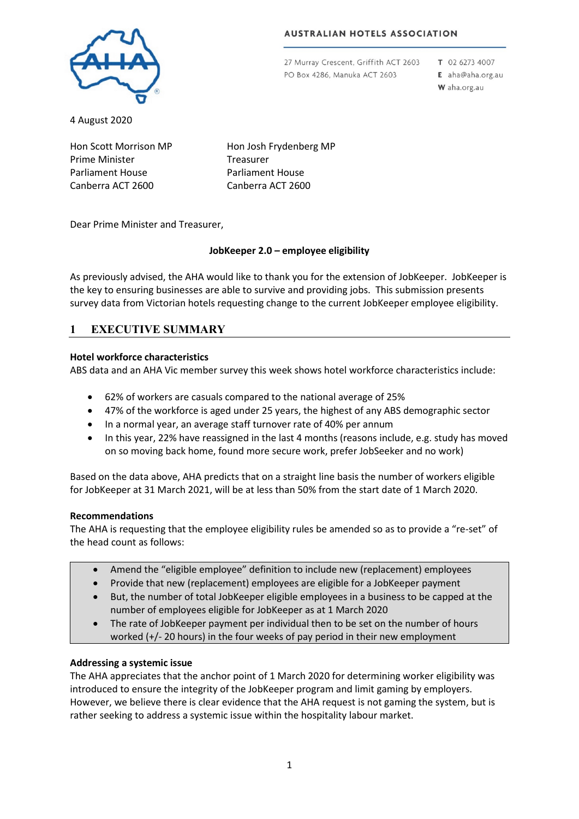### **AUSTRALIAN HOTELS ASSOCIATION**



27 Murray Crescent, Griffith ACT 2603 PO Box 4286, Manuka ACT 2603

T 02 6273 4007

E aha@aha.org.au W aha.org.au

4 August 2020

Hon Scott Morrison MP Prime Minister Parliament House Canberra ACT 2600

Hon Josh Frydenberg MP Treasurer Parliament House Canberra ACT 2600

Dear Prime Minister and Treasurer,

## **JobKeeper 2.0 – employee eligibility**

As previously advised, the AHA would like to thank you for the extension of JobKeeper. JobKeeper is the key to ensuring businesses are able to survive and providing jobs. This submission presents survey data from Victorian hotels requesting change to the current JobKeeper employee eligibility.

# **1 EXECUTIVE SUMMARY**

## **Hotel workforce characteristics**

ABS data and an AHA Vic member survey this week shows hotel workforce characteristics include:

- 62% of workers are casuals compared to the national average of 25%
- 47% of the workforce is aged under 25 years, the highest of any ABS demographic sector
- In a normal year, an average staff turnover rate of 40% per annum
- In this year, 22% have reassigned in the last 4 months (reasons include, e.g. study has moved on so moving back home, found more secure work, prefer JobSeeker and no work)

Based on the data above, AHA predicts that on a straight line basis the number of workers eligible for JobKeeper at 31 March 2021, will be at less than 50% from the start date of 1 March 2020.

## **Recommendations**

The AHA is requesting that the employee eligibility rules be amended so as to provide a "re-set" of the head count as follows:

- Amend the "eligible employee" definition to include new (replacement) employees
- Provide that new (replacement) employees are eligible for a JobKeeper payment
- But, the number of total JobKeeper eligible employees in a business to be capped at the number of employees eligible for JobKeeper as at 1 March 2020
- The rate of JobKeeper payment per individual then to be set on the number of hours worked (+/- 20 hours) in the four weeks of pay period in their new employment

## **Addressing a systemic issue**

The AHA appreciates that the anchor point of 1 March 2020 for determining worker eligibility was introduced to ensure the integrity of the JobKeeper program and limit gaming by employers. However, we believe there is clear evidence that the AHA request is not gaming the system, but is rather seeking to address a systemic issue within the hospitality labour market.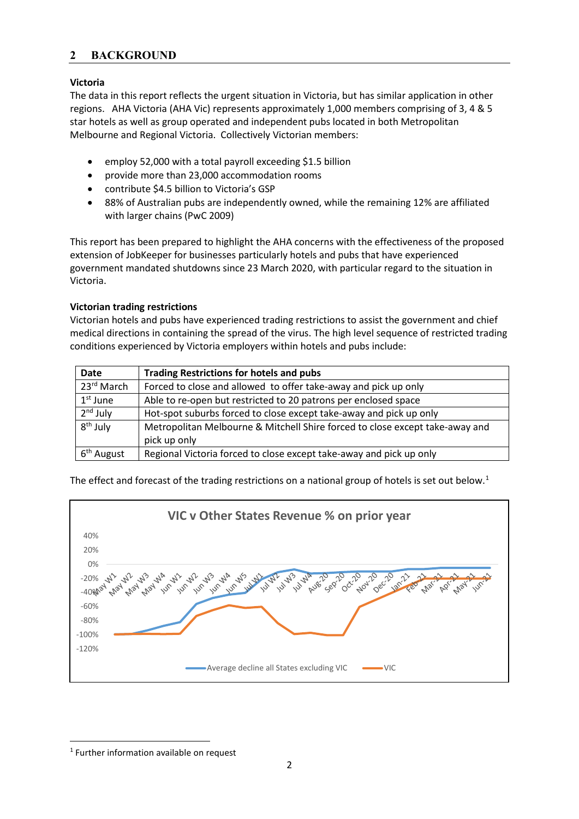## **2 BACKGROUND**

## **Victoria**

The data in this report reflects the urgent situation in Victoria, but has similar application in other regions. AHA Victoria (AHA Vic) represents approximately 1,000 members comprising of 3, 4 & 5 star hotels as well as group operated and independent pubs located in both Metropolitan Melbourne and Regional Victoria. Collectively Victorian members:

- employ 52,000 with a total payroll exceeding \$1.5 billion
- provide more than 23,000 accommodation rooms
- contribute \$4.5 billion to Victoria's GSP
- 88% of Australian pubs are independently owned, while the remaining 12% are affiliated with larger chains (PwC 2009)

This report has been prepared to highlight the AHA concerns with the effectiveness of the proposed extension of JobKeeper for businesses particularly hotels and pubs that have experienced government mandated shutdowns since 23 March 2020, with particular regard to the situation in Victoria.

## **Victorian trading restrictions**

Victorian hotels and pubs have experienced trading restrictions to assist the government and chief medical directions in containing the spread of the virus. The high level sequence of restricted trading conditions experienced by Victoria employers within hotels and pubs include:

| <b>Date</b>            | <b>Trading Restrictions for hotels and pubs</b>                              |
|------------------------|------------------------------------------------------------------------------|
| 23 <sup>rd</sup> March | Forced to close and allowed to offer take-away and pick up only              |
| $1st$ June             | Able to re-open but restricted to 20 patrons per enclosed space              |
| $2nd$ July             | Hot-spot suburbs forced to close except take-away and pick up only           |
| $8th$ July             | Metropolitan Melbourne & Mitchell Shire forced to close except take-away and |
|                        | pick up only                                                                 |
| 6 <sup>th</sup> August | Regional Victoria forced to close except take-away and pick up only          |

The effect and forecast of the trading restrictions on a national group of hotels is set out below.<sup>1</sup>



<span id="page-1-0"></span> <sup>1</sup> Further information available on request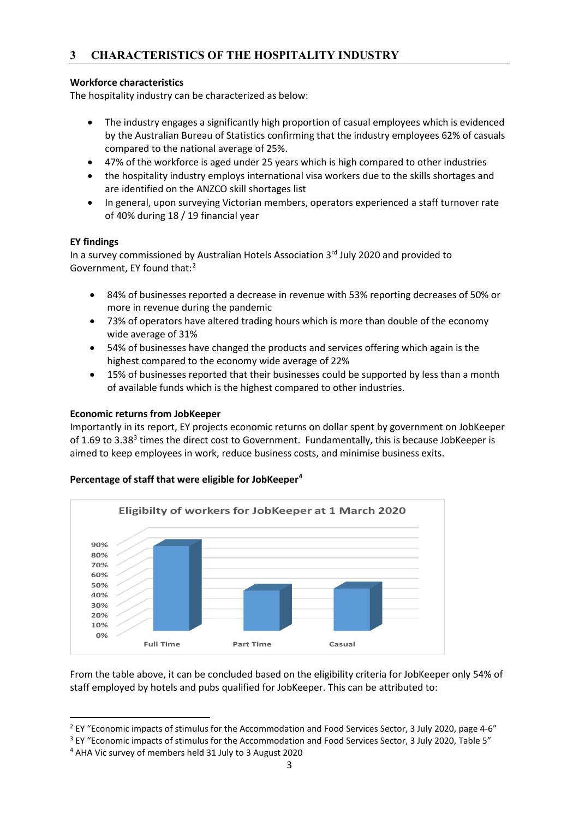# **3 CHARACTERISTICS OF THE HOSPITALITY INDUSTRY**

## **Workforce characteristics**

The hospitality industry can be characterized as below:

- The industry engages a significantly high proportion of casual employees which is evidenced by the Australian Bureau of Statistics confirming that the industry employees 62% of casuals compared to the national average of 25%.
- 47% of the workforce is aged under 25 years which is high compared to other industries
- the hospitality industry employs international visa workers due to the skills shortages and are identified on the ANZCO skill shortages list
- In general, upon surveying Victorian members, operators experienced a staff turnover rate of 40% during 18 / 19 financial year

## **EY findings**

In a survey commissioned by Australian Hotels Association 3rd July 2020 and provided to Government, EY found that:<sup>[2](#page-2-0)</sup>

- 84% of businesses reported a decrease in revenue with 53% reporting decreases of 50% or more in revenue during the pandemic
- 73% of operators have altered trading hours which is more than double of the economy wide average of 31%
- 54% of businesses have changed the products and services offering which again is the highest compared to the economy wide average of 22%
- 15% of businesses reported that their businesses could be supported by less than a month of available funds which is the highest compared to other industries.

#### **Economic returns from JobKeeper**

Importantly in its report, EY projects economic returns on dollar spent by government on JobKeeper of 1.69 to [3](#page-2-1).38<sup>3</sup> times the direct cost to Government. Fundamentally, this is because JobKeeper is aimed to keep employees in work, reduce business costs, and minimise business exits.



## **Percentage of staff that were eligible for JobKeeper[4](#page-2-2)**

From the table above, it can be concluded based on the eligibility criteria for JobKeeper only 54% of staff employed by hotels and pubs qualified for JobKeeper. This can be attributed to:

<span id="page-2-0"></span><sup>&</sup>lt;sup>2</sup> EY "Economic impacts of stimulus for the Accommodation and Food Services Sector, 3 July 2020, page 4-6"

<span id="page-2-1"></span><sup>&</sup>lt;sup>3</sup> EY "Economic impacts of stimulus for the Accommodation and Food Services Sector, 3 July 2020, Table 5"

<span id="page-2-2"></span><sup>4</sup> AHA Vic survey of members held 31 July to 3 August 2020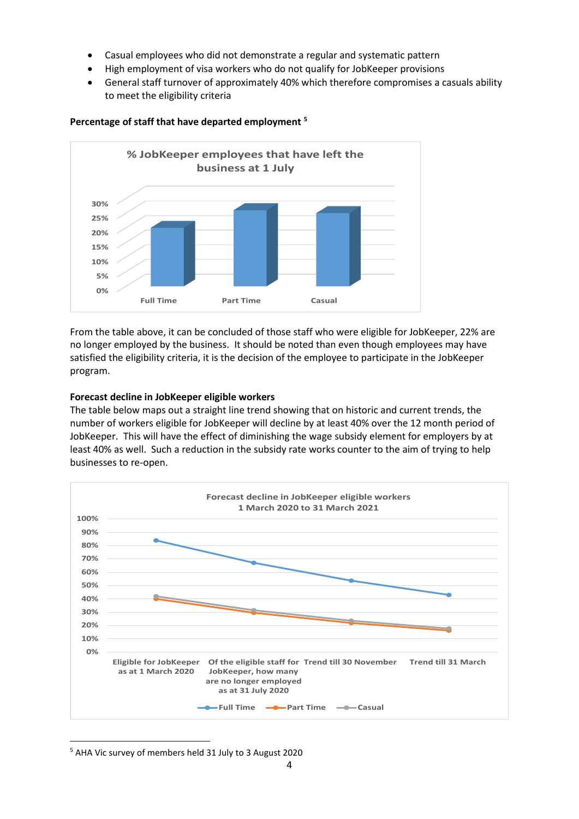- Casual employees who did not demonstrate a regular and systematic pattern
- High employment of visa workers who do not qualify for JobKeeper provisions
- General staff turnover of approximately 40% which therefore compromises a casuals ability to meet the eligibility criteria



#### **Percentage of staff that have departed employment [5](#page-3-0)**

From the table above, it can be concluded of those staff who were eligible for JobKeeper, 22% are no longer employed by the business. It should be noted than even though employees may have satisfied the eligibility criteria, it is the decision of the employee to participate in the JobKeeper program.

#### **Forecast decline in JobKeeper eligible workers**

The table below maps out a straight line trend showing that on historic and current trends, the number of workers eligible for JobKeeper will decline by at least 40% over the 12 month period of JobKeeper. This will have the effect of diminishing the wage subsidy element for employers by at least 40% as well. Such a reduction in the subsidy rate works counter to the aim of trying to help businesses to re-open.



<span id="page-3-0"></span>5 AHA Vic survey of members held 31 July to 3 August 2020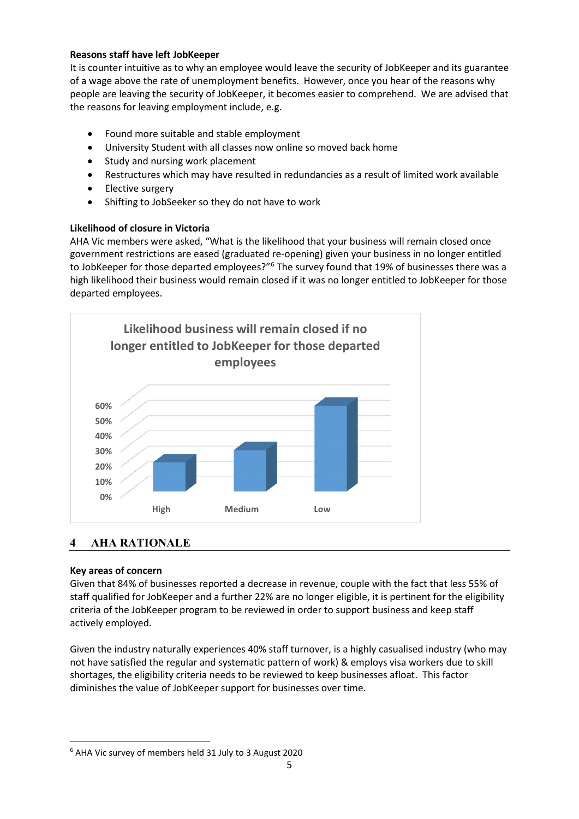## **Reasons staff have left JobKeeper**

It is counter intuitive as to why an employee would leave the security of JobKeeper and its guarantee of a wage above the rate of unemployment benefits. However, once you hear of the reasons why people are leaving the security of JobKeeper, it becomes easier to comprehend. We are advised that the reasons for leaving employment include, e.g.

- Found more suitable and stable employment
- University Student with all classes now online so moved back home
- Study and nursing work placement
- Restructures which may have resulted in redundancies as a result of limited work available
- Elective surgery
- Shifting to JobSeeker so they do not have to work

## **Likelihood of closure in Victoria**

AHA Vic members were asked, "What is the likelihood that your business will remain closed once government restrictions are eased (graduated re-opening) given your business in no longer entitled to JobKeeper for those departed employees?"<sup>[6](#page-4-0)</sup> The survey found that 19% of businesses there was a high likelihood their business would remain closed if it was no longer entitled to JobKeeper for those departed employees.



## **4 AHA RATIONALE**

## **Key areas of concern**

Given that 84% of businesses reported a decrease in revenue, couple with the fact that less 55% of staff qualified for JobKeeper and a further 22% are no longer eligible, it is pertinent for the eligibility criteria of the JobKeeper program to be reviewed in order to support business and keep staff actively employed.

Given the industry naturally experiences 40% staff turnover, is a highly casualised industry (who may not have satisfied the regular and systematic pattern of work) & employs visa workers due to skill shortages, the eligibility criteria needs to be reviewed to keep businesses afloat. This factor diminishes the value of JobKeeper support for businesses over time.

<span id="page-4-0"></span> <sup>6</sup> AHA Vic survey of members held 31 July to 3 August 2020